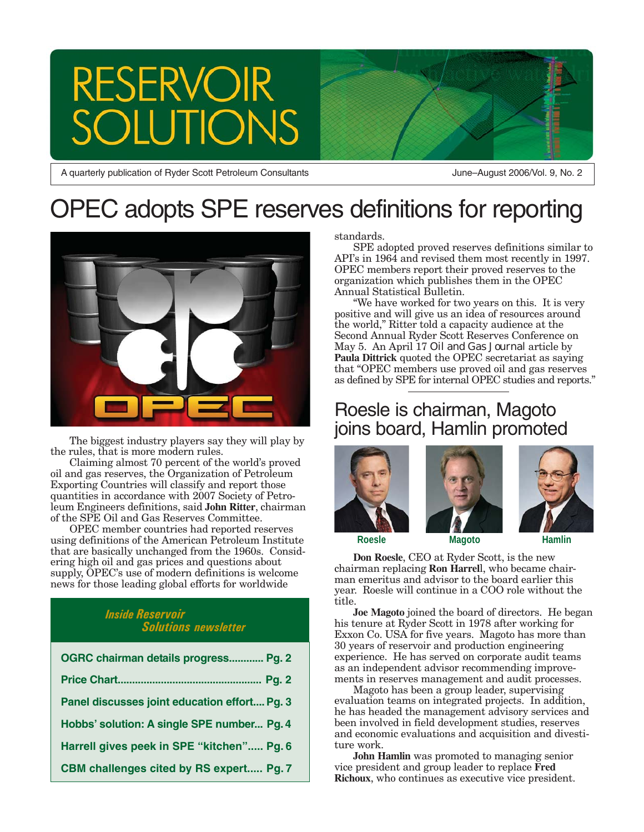# **RESERVOIR** ION

A quarterly publication of Ryder Scott Petroleum Consultants

June–August 2006/Vol. 9, No. 2

# OPEC adopts SPE reserves definitions for reporting



The biggest industry players say they will play by the rules, that is more modern rules.

Claiming almost 70 percent of the world's proved oil and gas reserves, the Organization of Petroleum Exporting Countries will classify and report those quantities in accordance with 2007 Society of Petroleum Engineers definitions, said **John Ritter**, chairman of the SPE Oil and Gas Reserves Committee.

OPEC member countries had reported reserves using definitions of the American Petroleum Institute that are basically unchanged from the 1960s. Considering high oil and gas prices and questions about supply, OPEC's use of modern definitions is welcome news for those leading global efforts for worldwide

#### *Inside Reservoir Solutions newsletter*

| OGRC chairman details progress Pg. 2           |
|------------------------------------------------|
|                                                |
| Panel discusses joint education effort Pg. 3   |
| Hobbs' solution: A single SPE number Pg. 4     |
| Harrell gives peek in SPE "kitchen" Pg. 6      |
| <b>CBM challenges cited by RS expert Pg. 7</b> |

standards.

SPE adopted proved reserves definitions similar to API's in 1964 and revised them most recently in 1997. OPEC members report their proved reserves to the organization which publishes them in the OPEC Annual Statistical Bulletin.

"We have worked for two years on this. It is very positive and will give us an idea of resources around the world," Ritter told a capacity audience at the Second Annual Ryder Scott Reserves Conference on May 5. An April 17 *Oil and Gas Journal* article by **Paula Dittrick** quoted the OPEC secretariat as saying that "OPEC members use proved oil and gas reserves as defined by SPE for internal OPEC studies and reports."

### Roesle is chairman, Magoto joins board, Hamlin promoted







**Don Roesle**, CEO at Ryder Scott, is the new chairman replacing **Ron Harrel**l, who became chairman emeritus and advisor to the board earlier this year. Roesle will continue in a COO role without the title.

**Joe Magoto** joined the board of directors. He began his tenure at Ryder Scott in 1978 after working for Exxon Co. USA for five years. Magoto has more than 30 years of reservoir and production engineering experience. He has served on corporate audit teams as an independent advisor recommending improvements in reserves management and audit processes.

Magoto has been a group leader, supervising evaluation teams on integrated projects. In addition, he has headed the management advisory services and been involved in field development studies, reserves and economic evaluations and acquisition and divestiture work.

**John Hamlin** was promoted to managing senior vice president and group leader to replace **Fred Richoux**, who continues as executive vice president.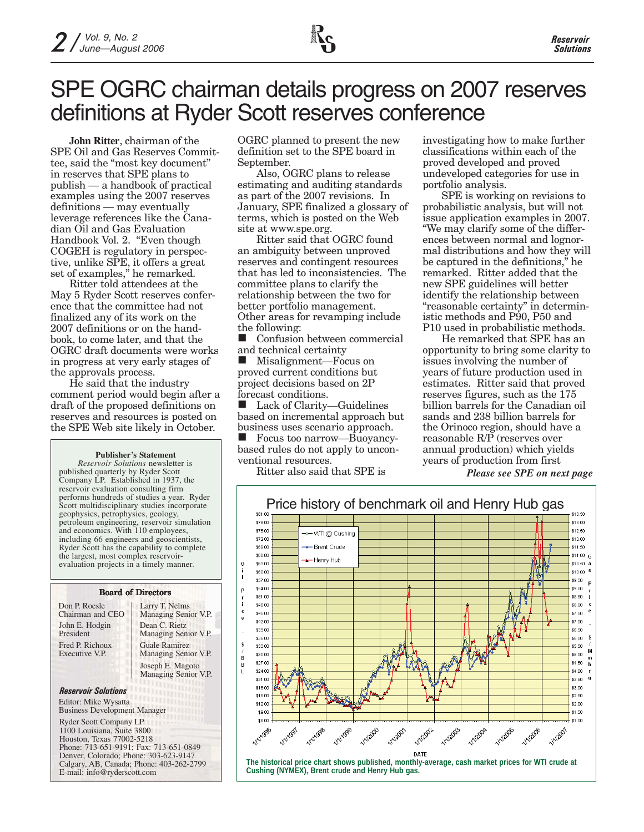# SPE OGRC chairman details progress on 2007 reserves definitions at Ryder Scott reserves conference

**John Ritter**, chairman of the SPE Oil and Gas Reserves Committee, said the "most key document" in reserves that SPE plans to publish — a handbook of practical examples using the 2007 reserves definitions — may eventually leverage references like the Canadian Oil and Gas Evaluation Handbook Vol. 2. "Even though COGEH is regulatory in perspective, unlike SPE, it offers a great set of examples," he remarked.

Ritter told attendees at the May 5 Ryder Scott reserves conference that the committee had not finalized any of its work on the 2007 definitions or on the handbook, to come later, and that the OGRC draft documents were works in progress at very early stages of the approvals process.

He said that the industry comment period would begin after a draft of the proposed definitions on reserves and resources is posted on the SPE Web site likely in October.

#### **Publisher's Statement**

*Reservoir Solutions* newsletter is published quarterly by Ryder Scott Company LP. Established in 1937, the reservoir evaluation consulting firm performs hundreds of studies a year. Ryder Scott multidisciplinary studies incorporate geophysics, petrophysics, geology, petroleum engineering, reservoir simulation and economics. With 110 employees, including 66 engineers and geoscientists, Ryder Scott has the capability to complete the largest, most complex reservoirevaluation projects in a timely manner.

#### Board of Directors

| Don P. Roesle                     | Lan        |
|-----------------------------------|------------|
| Chairman and CEO                  | Ma         |
| John E. Hodgin                    | Dea        |
| President                         | Ma         |
| Fred P. Richoux<br>Executive V.P. | Gua<br>Mai |
|                                   | Jose       |

ry T. Nelms naging Senior V.P. an C. Rietz naging Senior V.P. le Ramirez naging Senior V.P. eph E. Magoto Managing Senior V.P.

#### *Reservoir Solutions* Editor: Mike Wysatta

Business Development Manager

Ryder Scott Company LP 1100 Louisiana, Suite 3800 Houston, Texas 77002-5218 Phone: 713-651-9191; Fax: 713-651-0849 Denver, Colorado; Phone: 303-623-9147 Calgary, AB, Canada; Phone: 403-262-2799 E-mail: info@ryderscott.com

OGRC planned to present the new definition set to the SPE board in September.

Also, OGRC plans to release estimating and auditing standards as part of the 2007 revisions. In January, SPE finalized a glossary of terms, which is posted on the Web site at www.spe.org.

Ritter said that OGRC found an ambiguity between unproved reserves and contingent resources that has led to inconsistencies. The committee plans to clarify the relationship between the two for better portfolio management. Other areas for revamping include the following:

**Confusion between commercial** and technical certainty

■ Misalignment—Focus on proved current conditions but project decisions based on 2P forecast conditions.

 Lack of Clarity—Guidelines based on incremental approach but business uses scenario approach.

 Focus too narrow—Buoyancybased rules do not apply to unconventional resources.

Ritter also said that SPE is

investigating how to make further classifications within each of the proved developed and proved undeveloped categories for use in portfolio analysis.

SPE is working on revisions to probabilistic analysis, but will not issue application examples in 2007. "We may clarify some of the differences between normal and lognormal distributions and how they will be captured in the definitions," he remarked. Ritter added that the new SPE guidelines will better identify the relationship between "reasonable certainty" in deterministic methods and P90, P50 and P10 used in probabilistic methods.

He remarked that SPE has an opportunity to bring some clarity to issues involving the number of years of future production used in estimates. Ritter said that proved reserves figures, such as the 175 billion barrels for the Canadian oil sands and 238 billion barrels for the Orinoco region, should have a reasonable R/P (reserves over annual production) which yields years of production from first

*Please see SPE on next page*

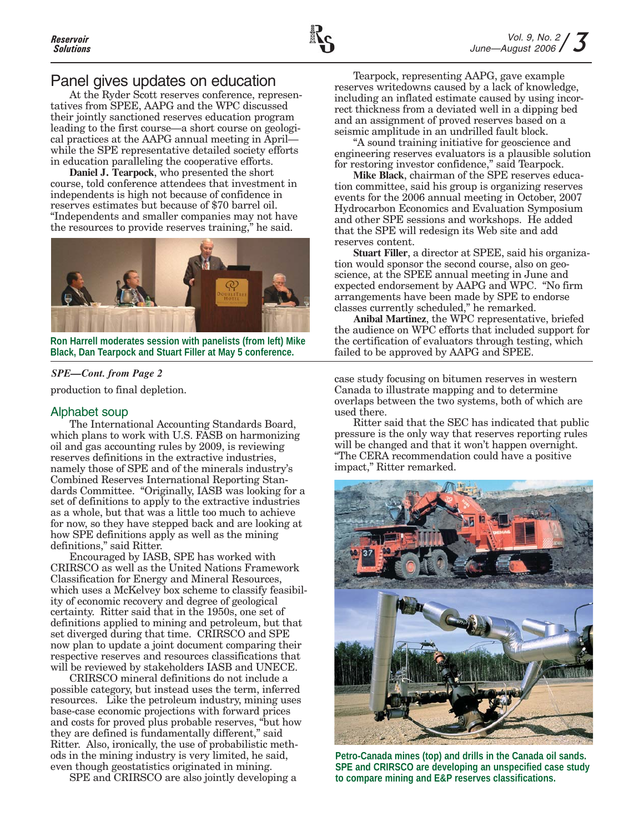### Panel gives updates on education

At the Ryder Scott reserves conference, representatives from SPEE, AAPG and the WPC discussed their jointly sanctioned reserves education program leading to the first course—a short course on geological practices at the AAPG annual meeting in April while the SPE representative detailed society efforts in education paralleling the cooperative efforts.

**Daniel J. Tearpock**, who presented the short course, told conference attendees that investment in independents is high not because of confidence in reserves estimates but because of \$70 barrel oil. "Independents and smaller companies may not have the resources to provide reserves training," he said.



**Ron Harrell moderates session with panelists (from left) Mike Black, Dan Tearpock and Stuart Filler at May 5 conference.**

#### *SPE—Cont. from Page 2*

production to final depletion.

#### Alphabet soup

The International Accounting Standards Board, which plans to work with U.S. FASB on harmonizing oil and gas accounting rules by 2009, is reviewing reserves definitions in the extractive industries, namely those of SPE and of the minerals industry's Combined Reserves International Reporting Standards Committee. "Originally, IASB was looking for a set of definitions to apply to the extractive industries as a whole, but that was a little too much to achieve for now, so they have stepped back and are looking at how SPE definitions apply as well as the mining definitions," said Ritter.

Encouraged by IASB, SPE has worked with CRIRSCO as well as the United Nations Framework Classification for Energy and Mineral Resources, which uses a McKelvey box scheme to classify feasibility of economic recovery and degree of geological certainty. Ritter said that in the 1950s, one set of definitions applied to mining and petroleum, but that set diverged during that time. CRIRSCO and SPE now plan to update a joint document comparing their respective reserves and resources classifications that will be reviewed by stakeholders IASB and UNECE.

CRIRSCO mineral definitions do not include a possible category, but instead uses the term, inferred resources. Like the petroleum industry, mining uses base-case economic projections with forward prices and costs for proved plus probable reserves, "but how they are defined is fundamentally different," said Ritter. Also, ironically, the use of probabilistic methods in the mining industry is very limited, he said, even though geostatistics originated in mining.

SPE and CRIRSCO are also jointly developing a

Tearpock, representing AAPG, gave example reserves writedowns caused by a lack of knowledge, including an inflated estimate caused by using incorrect thickness from a deviated well in a dipping bed and an assignment of proved reserves based on a seismic amplitude in an undrilled fault block.

"A sound training initiative for geoscience and engineering reserves evaluators is a plausible solution for restoring investor confidence," said Tearpock.

**Mike Black**, chairman of the SPE reserves education committee, said his group is organizing reserves events for the 2006 annual meeting in October, 2007 Hydrocarbon Economics and Evaluation Symposium and other SPE sessions and workshops. He added that the SPE will redesign its Web site and add reserves content.

**Stuart Filler**, a director at SPEE, said his organization would sponsor the second course, also on geoscience, at the SPEE annual meeting in June and expected endorsement by AAPG and WPC. "No firm arrangements have been made by SPE to endorse classes currently scheduled," he remarked.

**Anibal Martinez**, the WPC representative, briefed the audience on WPC efforts that included support for the certification of evaluators through testing, which failed to be approved by AAPG and SPEE.

case study focusing on bitumen reserves in western Canada to illustrate mapping and to determine overlaps between the two systems, both of which are used there.

Ritter said that the SEC has indicated that public pressure is the only way that reserves reporting rules will be changed and that it won't happen overnight. "The CERA recommendation could have a positive impact," Ritter remarked.



**Petro-Canada mines (top) and drills in the Canada oil sands. SPE and CRIRSCO are developing an unspecified case study to compare mining and E&P reserves classifications.**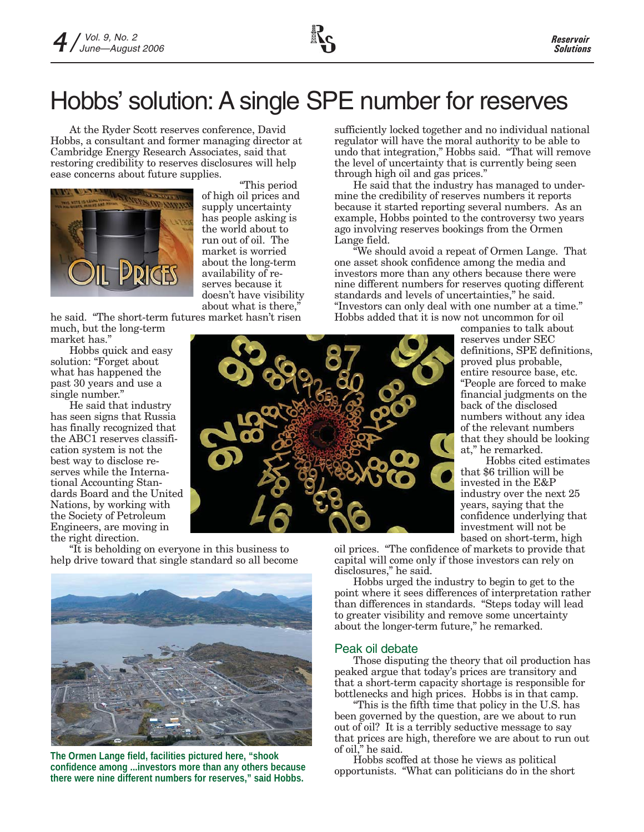# Hobbs' solution: A single SPE number for reserves

At the Ryder Scott reserves conference, David Hobbs, a consultant and former managing director at Cambridge Energy Research Associates, said that restoring credibility to reserves disclosures will help ease concerns about future supplies.



"This period of high oil prices and supply uncertainty has people asking is the world about to run out of oil. The market is worried about the long-term availability of reserves because it doesn't have visibility about what is there,"

he said. "The short-term futures market hasn't risen much, but the long-term market has."

Hobbs quick and easy solution: "Forget about what has happened the past 30 years and use a single number."

He said that industry has seen signs that Russia has finally recognized that the ABC1 reserves classification system is not the best way to disclose reserves while the International Accounting Standards Board and the United Nations, by working with the Society of Petroleum Engineers, are moving in the right direction.



sufficiently locked together and no individual national regulator will have the moral authority to be able to undo that integration," Hobbs said. "That will remove the level of uncertainty that is currently being seen through high oil and gas prices."

He said that the industry has managed to undermine the credibility of reserves numbers it reports because it started reporting several numbers. As an example, Hobbs pointed to the controversy two years ago involving reserves bookings from the Ormen Lange field.

"We should avoid a repeat of Ormen Lange. That one asset shook confidence among the media and investors more than any others because there were nine different numbers for reserves quoting different standards and levels of uncertainties," he said. "Investors can only deal with one number at a time." Hobbs added that it is now not uncommon for oil

companies to talk about reserves under SEC definitions, SPE definitions, proved plus probable, entire resource base, etc. "People are forced to make financial judgments on the back of the disclosed numbers without any idea of the relevant numbers that they should be looking at," he remarked.

Hobbs cited estimates that \$6 trillion will be invested in the E&P industry over the next 25 years, saying that the confidence underlying that investment will not be based on short-term, high

"It is beholding on everyone in this business to help drive toward that single standard so all become



**The Ormen Lange field, facilities pictured here, "shook confidence among ...investors more than any others because there were nine different numbers for reserves," said Hobbs.**

oil prices. "The confidence of markets to provide that capital will come only if those investors can rely on disclosures," he said.

Hobbs urged the industry to begin to get to the point where it sees differences of interpretation rather than differences in standards. "Steps today will lead to greater visibility and remove some uncertainty about the longer-term future," he remarked.

#### Peak oil debate

Those disputing the theory that oil production has peaked argue that today's prices are transitory and that a short-term capacity shortage is responsible for bottlenecks and high prices. Hobbs is in that camp.

"This is the fifth time that policy in the U.S. has been governed by the question, are we about to run out of oil? It is a terribly seductive message to say that prices are high, therefore we are about to run out of oil," he said.

Hobbs scoffed at those he views as political opportunists. "What can politicians do in the short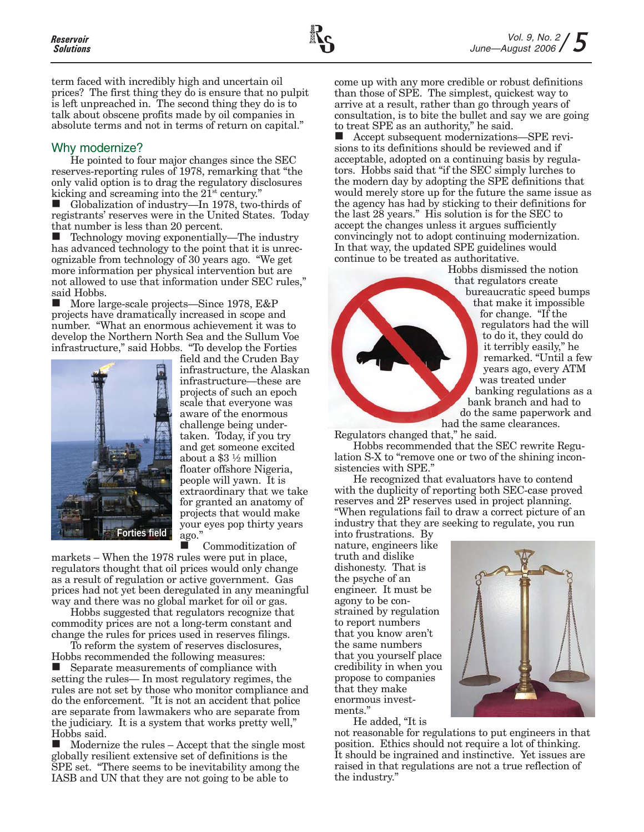term faced with incredibly high and uncertain oil prices? The first thing they do is ensure that no pulpit is left unpreached in. The second thing they do is to talk about obscene profits made by oil companies in absolute terms and not in terms of return on capital."

#### Why modernize?

He pointed to four major changes since the SEC reserves-reporting rules of 1978, remarking that "the only valid option is to drag the regulatory disclosures kicking and screaming into the  $21<sup>st</sup>$  century."

 Globalization of industry—In 1978, two-thirds of registrants' reserves were in the United States. Today that number is less than 20 percent.

 Technology moving exponentially—The industry has advanced technology to the point that it is unrecognizable from technology of 30 years ago. "We get more information per physical intervention but are not allowed to use that information under SEC rules," said Hobbs.

 More large-scale projects—Since 1978, E&P projects have dramatically increased in scope and number. "What an enormous achievement it was to develop the Northern North Sea and the Sullum Voe infrastructure," said Hobbs. "To develop the Forties



field and the Cruden Bay infrastructure, the Alaskan infrastructure—these are projects of such an epoch scale that everyone was aware of the enormous challenge being undertaken. Today, if you try and get someone excited about a \$3 ½ million floater offshore Nigeria, people will yawn. It is extraordinary that we take for granted an anatomy of projects that would make your eyes pop thirty years ago."

 Commoditization of markets – When the 1978 rules were put in place, regulators thought that oil prices would only change as a result of regulation or active government. Gas prices had not yet been deregulated in any meaningful way and there was no global market for oil or gas.

Hobbs suggested that regulators recognize that commodity prices are not a long-term constant and change the rules for prices used in reserves filings.

To reform the system of reserves disclosures, Hobbs recommended the following measures: ■ Separate measurements of compliance with setting the rules— In most regulatory regimes, the rules are not set by those who monitor compliance and do the enforcement. "It is not an accident that police are separate from lawmakers who are separate from the judiciary. It is a system that works pretty well," Hobbs said.

 $\blacksquare$  Modernize the rules – Accept that the single most globally resilient extensive set of definitions is the SPE set. "There seems to be inevitability among the IASB and UN that they are not going to be able to

come up with any more credible or robust definitions than those of SPE. The simplest, quickest way to arrive at a result, rather than go through years of consultation, is to bite the bullet and say we are going to treat SPE as an authority," he said.

■ Accept subsequent modernizations—SPE revisions to its definitions should be reviewed and if acceptable, adopted on a continuing basis by regulators. Hobbs said that "if the SEC simply lurches to the modern day by adopting the SPE definitions that would merely store up for the future the same issue as the agency has had by sticking to their definitions for the last 28 years." His solution is for the SEC to accept the changes unless it argues sufficiently convincingly not to adopt continuing modernization. In that way, the updated SPE guidelines would continue to be treated as authoritative.

> Hobbs dismissed the notion that regulators create bureaucratic speed bumps that make it impossible for change. "If the regulators had the will to do it, they could do it terribly easily," he remarked. "Until a few years ago, every ATM was treated under banking regulations as a bank branch and had to do the same paperwork and had the same clearances.

Regulators changed that," he said.

Hobbs recommended that the SEC rewrite Regulation S-X to "remove one or two of the shining inconsistencies with SPE."

He recognized that evaluators have to contend with the duplicity of reporting both SEC-case proved reserves and 2P reserves used in project planning. "When regulations fail to draw a correct picture of an industry that they are seeking to regulate, you run

into frustrations. By nature, engineers like truth and dislike dishonesty. That is the psyche of an engineer. It must be agony to be constrained by regulation to report numbers that you know aren't the same numbers that you yourself place credibility in when you propose to companies that they make enormous investments."

He added, "It is

not reasonable for regulations to put engineers in that position. Ethics should not require a lot of thinking. It should be ingrained and instinctive. Yet issues are raised in that regulations are not a true reflection of the industry."

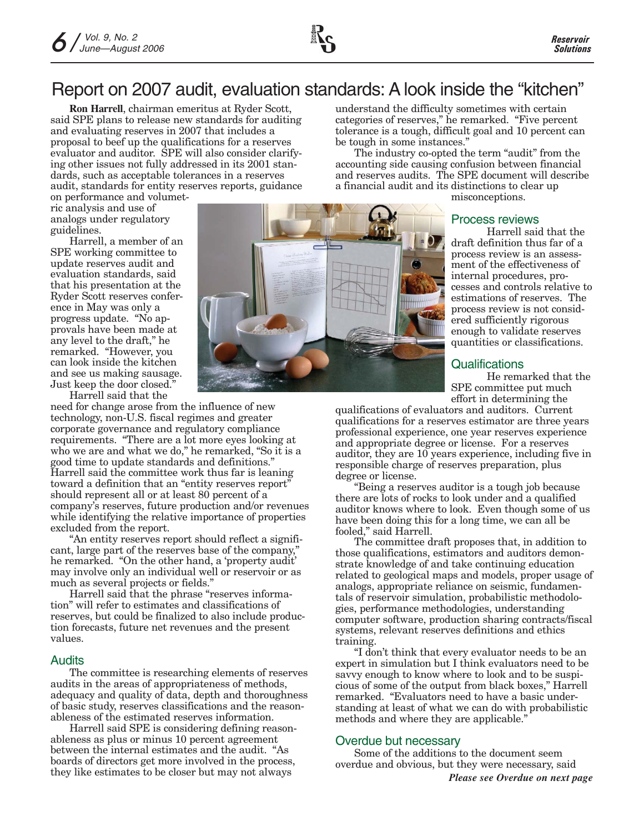# Report on 2007 audit, evaluation standards: A look inside the "kitchen"

**Ron Harrell**, chairman emeritus at Ryder Scott, said SPE plans to release new standards for auditing and evaluating reserves in 2007 that includes a proposal to beef up the qualifications for a reserves evaluator and auditor. SPE will also consider clarifying other issues not fully addressed in its 2001 standards, such as acceptable tolerances in a reserves audit, standards for entity reserves reports, guidance

on performance and volumetric analysis and use of analogs under regulatory guidelines.

Harrell, a member of an SPE working committee to update reserves audit and evaluation standards, said that his presentation at the Ryder Scott reserves conference in May was only a progress update. "No approvals have been made at any level to the draft," he remarked. "However, you can look inside the kitchen and see us making sausage. Just keep the door closed."

Harrell said that the

need for change arose from the influence of new technology, non-U.S. fiscal regimes and greater corporate governance and regulatory compliance requirements. "There are a lot more eyes looking at who we are and what we do," he remarked, "So it is a good time to update standards and definitions." Harrell said the committee work thus far is leaning toward a definition that an "entity reserves report" should represent all or at least 80 percent of a company's reserves, future production and/or revenues while identifying the relative importance of properties excluded from the report.

"An entity reserves report should reflect a significant, large part of the reserves base of the company," he remarked. "On the other hand, a 'property audit' may involve only an individual well or reservoir or as much as several projects or fields."

Harrell said that the phrase "reserves information" will refer to estimates and classifications of reserves, but could be finalized to also include production forecasts, future net revenues and the present values.

#### Audits

The committee is researching elements of reserves audits in the areas of appropriateness of methods, adequacy and quality of data, depth and thoroughness of basic study, reserves classifications and the reasonableness of the estimated reserves information.

Harrell said SPE is considering defining reasonableness as plus or minus 10 percent agreement between the internal estimates and the audit. "As boards of directors get more involved in the process, they like estimates to be closer but may not always



understand the difficulty sometimes with certain categories of reserves," he remarked. "Five percent tolerance is a tough, difficult goal and 10 percent can be tough in some instances."

The industry co-opted the term "audit" from the accounting side causing confusion between financial and reserves audits. The SPE document will describe a financial audit and its distinctions to clear up

misconceptions.

#### Process reviews

Harrell said that the draft definition thus far of a process review is an assessment of the effectiveness of internal procedures, processes and controls relative to estimations of reserves. The process review is not considered sufficiently rigorous enough to validate reserves quantities or classifications.

#### **Qualifications**

He remarked that the SPE committee put much effort in determining the

qualifications of evaluators and auditors. Current qualifications for a reserves estimator are three years professional experience, one year reserves experience and appropriate degree or license. For a reserves auditor, they are 10 years experience, including five in responsible charge of reserves preparation, plus degree or license.

"Being a reserves auditor is a tough job because there are lots of rocks to look under and a qualified auditor knows where to look. Even though some of us have been doing this for a long time, we can all be fooled," said Harrell.

The committee draft proposes that, in addition to those qualifications, estimators and auditors demonstrate knowledge of and take continuing education related to geological maps and models, proper usage of analogs, appropriate reliance on seismic, fundamentals of reservoir simulation, probabilistic methodologies, performance methodologies, understanding computer software, production sharing contracts/fiscal systems, relevant reserves definitions and ethics training.

"I don't think that every evaluator needs to be an expert in simulation but I think evaluators need to be savvy enough to know where to look and to be suspicious of some of the output from black boxes," Harrell remarked. "Evaluators need to have a basic understanding at least of what we can do with probabilistic methods and where they are applicable."

#### Overdue but necessary

Some of the additions to the document seem overdue and obvious, but they were necessary, said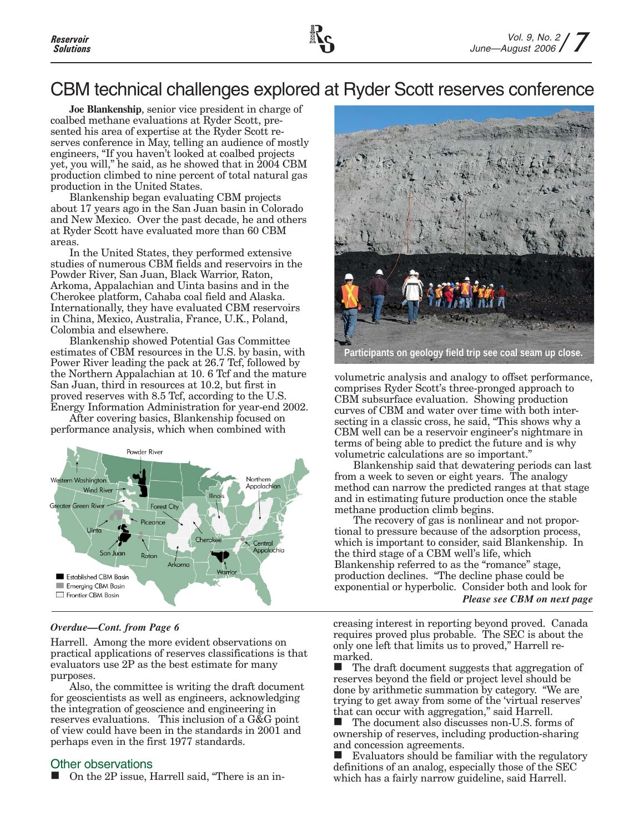# CBM technical challenges explored at Ryder Scott reserves conference

**Joe Blankenship**, senior vice president in charge of coalbed methane evaluations at Ryder Scott, presented his area of expertise at the Ryder Scott reserves conference in May, telling an audience of mostly engineers, "If you haven't looked at coalbed projects yet, you will," he said, as he showed that in 2004 CBM production climbed to nine percent of total natural gas production in the United States.

Blankenship began evaluating CBM projects about 17 years ago in the San Juan basin in Colorado and New Mexico. Over the past decade, he and others at Ryder Scott have evaluated more than 60 CBM areas.

In the United States, they performed extensive studies of numerous CBM fields and reservoirs in the Powder River, San Juan, Black Warrior, Raton, Arkoma, Appalachian and Uinta basins and in the Cherokee platform, Cahaba coal field and Alaska. Internationally, they have evaluated CBM reservoirs in China, Mexico, Australia, France, U.K., Poland, Colombia and elsewhere.

Blankenship showed Potential Gas Committee estimates of CBM resources in the U.S. by basin, with Power River leading the pack at 26.7 Tcf, followed by the Northern Appalachian at 10. 6 Tcf and the mature San Juan, third in resources at 10.2, but first in proved reserves with 8.5 Tcf, according to the U.S. Energy Information Administration for year-end 2002.

After covering basics, Blankenship focused on performance analysis, which when combined with



#### *Overdue—Cont. from Page 6*

Harrell. Among the more evident observations on practical applications of reserves classifications is that evaluators use 2P as the best estimate for many purposes.

Also, the committee is writing the draft document for geoscientists as well as engineers, acknowledging the integration of geoscience and engineering in reserves evaluations. This inclusion of a G&G point of view could have been in the standards in 2001 and perhaps even in the first 1977 standards.

#### Other observations

■ On the 2P issue, Harrell said, "There is an in-



volumetric analysis and analogy to offset performance, comprises Ryder Scott's three-pronged approach to CBM subsurface evaluation. Showing production curves of CBM and water over time with both intersecting in a classic cross, he said, "This shows why a CBM well can be a reservoir engineer's nightmare in terms of being able to predict the future and is why volumetric calculations are so important."

Blankenship said that dewatering periods can last from a week to seven or eight years. The analogy method can narrow the predicted ranges at that stage and in estimating future production once the stable methane production climb begins.

The recovery of gas is nonlinear and not proportional to pressure because of the adsorption process, which is important to consider, said Blankenship. In the third stage of a CBM well's life, which Blankenship referred to as the "romance" stage, production declines. "The decline phase could be exponential or hyperbolic. Consider both and look for *Please see CBM on next page*

creasing interest in reporting beyond proved. Canada requires proved plus probable. The SEC is about the only one left that limits us to proved," Harrell remarked.

■ The draft document suggests that aggregation of reserves beyond the field or project level should be done by arithmetic summation by category. "We are trying to get away from some of the 'virtual reserves' that can occur with aggregation," said Harrell.

■ The document also discusses non-U.S. forms of ownership of reserves, including production-sharing and concession agreements.

 $\blacksquare$  Evaluators should be familiar with the regulatory definitions of an analog, especially those of the SEC which has a fairly narrow guideline, said Harrell.